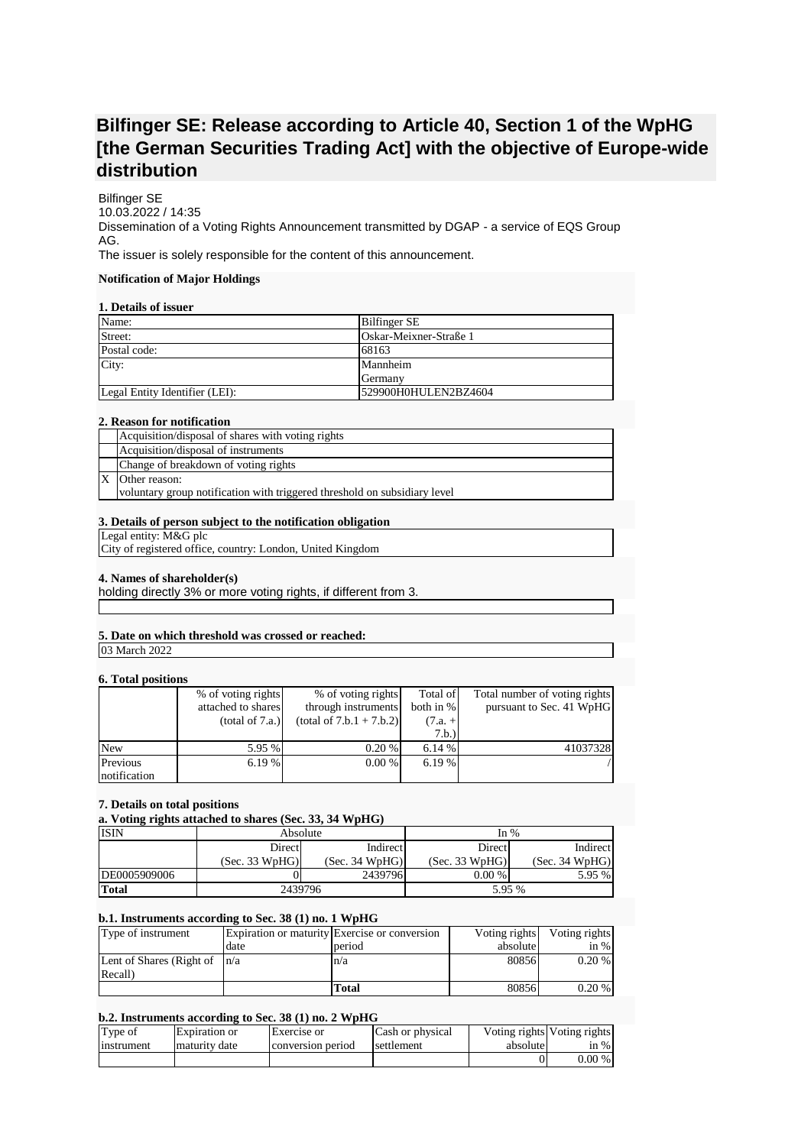# **Bilfinger SE: Release according to Article 40, Section 1 of the WpHG [the German Securities Trading Act] with the objective of Europe-wide distribution**

Bilfinger SE 10.03.2022 / 14:35 Dissemination of a Voting Rights Announcement transmitted by DGAP - a service of EQS Group AG. The issuer is solely responsible for the content of this announcement.

# **Notification of Major Holdings**

# **1. Details of issuer**

| Name:                          | <b>Bilfinger SE</b>    |
|--------------------------------|------------------------|
| Street:                        | Oskar-Meixner-Straße 1 |
| Postal code:                   | 68163                  |
| City:                          | Mannheim               |
|                                | Germany                |
| Legal Entity Identifier (LEI): | 529900H0HULEN2BZ4604   |

#### **2. Reason for notification**

| Acquisition/disposal of shares with voting rights                         |
|---------------------------------------------------------------------------|
| Acquisition/disposal of instruments                                       |
| Change of breakdown of voting rights                                      |
| Other reason:                                                             |
| voluntary group notification with triggered threshold on subsidiary level |

# **3. Details of person subject to the notification obligation**

Legal entity: M&G plc

City of registered office, country: London, United Kingdom

#### **4. Names of shareholder(s)**

holding directly 3% or more voting rights, if different from 3.

## **5. Date on which threshold was crossed or reached:**

03 March 2022

## **6. Total positions**

|              | % of voting rights | % of voting rights         | Total of  | Total number of voting rights |
|--------------|--------------------|----------------------------|-----------|-------------------------------|
|              | attached to shares | through instruments        | both in % | pursuant to Sec. 41 WpHG      |
|              | (total of 7.a.)    | $(total of 7.b.1 + 7.b.2)$ | $(7.a. +$ |                               |
|              |                    |                            | 7.b.)     |                               |
| <b>New</b>   | 5.95 %             | 0.20%                      | 6.14%     | 41037328                      |
| Previous     | 6.19 %             | $0.00\%$                   | 6.19%     |                               |
| notification |                    |                            |           |                               |

#### **7. Details on total positions**

## **a. Voting rights attached to shares (Sec. 33, 34 WpHG)**

| <b>ISIN</b>  | Absolute                         |          | In $%$         |                |
|--------------|----------------------------------|----------|----------------|----------------|
|              | Direct                           | Indirect | Direct         | Indirect       |
|              | (Sec. 33 WpHG)<br>(Sec. 34 WpHG) |          | (Sec. 33 WpHG) | (Sec. 34 WpHG) |
| DE0005909006 |                                  | 2439796  | $0.00\%$       | 5.95 %         |
| Total        | 2439796                          |          | 5.95 %         |                |

## **b.1. Instruments according to Sec. 38 (1) no. 1 WpHG**

| Type of instrument               |      | Expiration or maturity Exercise or conversion | Voting rights | Voting rights |
|----------------------------------|------|-----------------------------------------------|---------------|---------------|
|                                  | date | period                                        | absolute      | in $%$        |
| Lent of Shares (Right of $ n/a $ |      | n/a                                           | 80856         | $0.20\%$      |
| Recall)                          |      |                                               |               |               |
|                                  |      | Total                                         | 80856         | $0.20\%$      |

## **b.2. Instruments according to Sec. 38 (1) no. 2 WpHG**

| Type of    | Expiration or | Exercise or       | Cash or physical | absolute | Voting rights Voting rights |
|------------|---------------|-------------------|------------------|----------|-----------------------------|
| instrument | maturity date | conversion period | settlement       |          | in $%$                      |
|            |               |                   |                  |          | $0.00\%$                    |